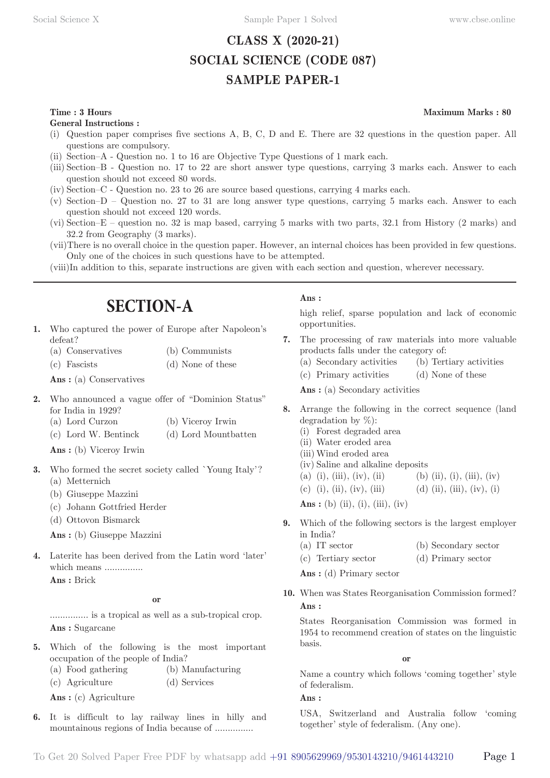## **CLASS X (2020-21) SOCIAL SCIENCE (CODE 087) SAMPLE PAPER-1**

## **Time : 3 Hours** Maximum Marks : 80

**General Instructions :**

- (i) Question paper comprises five sections A, B, C, D and E. There are 32 questions in the question paper. All questions are compulsory.
- (ii) Section–A Question no. 1 to 16 are Objective Type Questions of 1 mark each.
- (iii) Section–B Question no. 17 to 22 are short answer type questions, carrying 3 marks each. Answer to each question should not exceed 80 words.
- (iv) Section–C Question no. 23 to 26 are source based questions, carrying 4 marks each.
- (v) Section–D Question no. 27 to 31 are long answer type questions, carrying 5 marks each. Answer to each question should not exceed 120 words.
- (vi) Section–E question no. 32 is map based, carrying 5 marks with two parts, 32.1 from History (2 marks) and 32.2 from Geography (3 marks).
- (vii) There is no overall choice in the question paper. However, an internal choices has been provided in few questions. Only one of the choices in such questions have to be attempted.
- (viii) In addition to this, separate instructions are given with each section and question, wherever necessary.

## **SECTION-A**

- **1.** Who captured the power of Europe after Napoleon's defeat?
	- (a) Conservatives (b) Communists
	- (c) Fascists (d) None of these

Ans: (a) Conservatives

- **2.** Who announced a vague offer of "Dominion Status" for India in 1929?
	- (a) Lord Curzon (b) Viceroy Irwin
	- (c) Lord W. Bentinck (d) Lord Mountbatten

**Ans :** (b) Viceroy Irwin

- **3.** Who formed the secret society called `Young Italy'? (a) Metternich
	- (b) Giuseppe Mazzini
	- (c) Johann Gottfried Herder
	- (d) Ottovon Bismarck

**Ans :** (b) Giuseppe Mazzini

**4.** Laterite has been derived from the Latin word 'later' which means ...............

**Ans :** Brick

#### **or**

............... is a tropical as well as a sub-tropical crop. **Ans :** Sugarcane

- **5.** Which of the following is the most important occupation of the people of India? (a) Food gathering (b) Manufacturing
	- (c) Agriculture (d) Services

**Ans :** (c) Agriculture

**6.** It is difficult to lay railway lines in hilly and mountainous regions of India because of ...............

## **Ans :**

high relief, sparse population and lack of economic opportunities.

- **7.** The processing of raw materials into more valuable products falls under the category of:
	- (a) Secondary activities (b) Tertiary activities
	- (c) Primary activities (d) None of these

Ans : (a) Secondary activities

- **8.** Arrange the following in the correct sequence (land degradation by %):
	- (i) Forest degraded area
	- (ii) Water eroded area
	- (iii) Wind eroded area
	- (iv) Saline and alkaline deposits
	- (a) (i), (iii), (iv), (ii) (b) (ii), (i), (iii), (iv)
	- (c) (i), (ii), (iv), (iii) (d) (ii), (iii), (iv), (i)

**Ans** : (b) (ii), (i), (iii), (iv)

- **9.** Which of the following sectors is the largest employer in India?
	- (a) IT sector (b) Secondary sector (c) Tertiary sector (d) Primary sector

**Ans :** (d) Primary sector

**10.** When was States Reorganisation Commission formed? **Ans :** 

States Reorganisation Commission was formed in 1954 to recommend creation of states on the linguistic basis.

**or**

Name a country which follows 'coming together' style of federalism.

**Ans :** 

USA, Switzerland and Australia follow 'coming together' style of federalism. (Any one).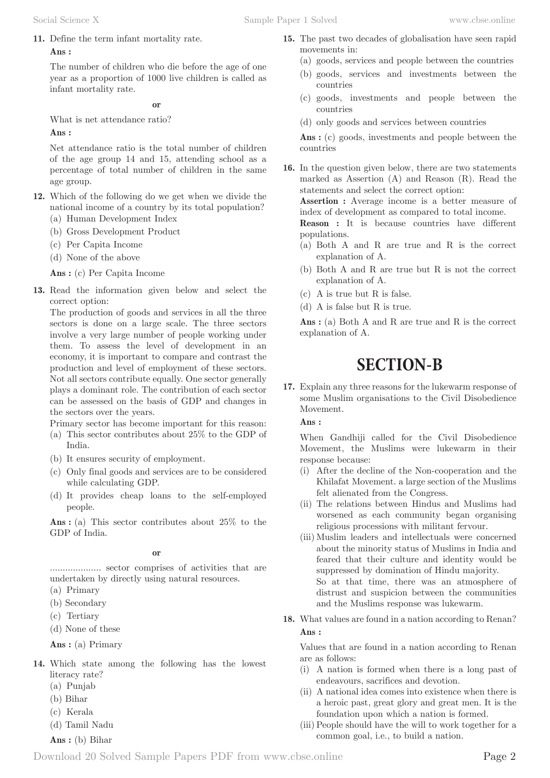movements in:

countries

countries

countries

populations.

explanation of A.

explanation of A. (c) A is true but R is false. (d) A is false but R is true.

**15.** The past two decades of globalisation have seen rapid

(a) goods, services and people between the countries (b) goods, services and investments between the

(c) goods, investments and people between the

Ans : (c) goods, investments and people between the

**Assertion :** Average income is a better measure of index of development as compared to total income. **Reason :** It is because countries have different

(a) Both A and R are true and R is the correct

(b) Both A and R are true but R is not the correct

Ans : (a) Both A and R are true and R is the correct

**SECTION-B**

**17.** Explain any three reasons for the lukewarm response of some Muslim organisations to the Civil Disobedience

**16.** In the question given below, there are two statements marked as Assertion (A) and Reason (R). Read the

statements and select the correct option:

(d) only goods and services between countries

**11.** Define the term infant mortality rate.

## **Ans :**

The number of children who die before the age of one year as a proportion of 1000 live children is called as infant mortality rate.

**or**

What is net attendance ratio?

**Ans :** 

Net attendance ratio is the total number of children of the age group 14 and 15, attending school as a percentage of total number of children in the same age group.

- **12.** Which of the following do we get when we divide the national income of a country by its total population?
	- (a) Human Development Index
	- (b) Gross Development Product
	- (c) Per Capita Income
	- (d) None of the above

**Ans :** (c) Per Capita Income

**13.** Read the information given below and select the correct option:

The production of goods and services in all the three sectors is done on a large scale. The three sectors involve a very large number of people working under them. To assess the level of development in an economy, it is important to compare and contrast the production and level of employment of these sectors. Not all sectors contribute equally. One sector generally plays a dominant role. The contribution of each sector can be assessed on the basis of GDP and changes in the sectors over the years.

Primary sector has become important for this reason:

- (a) This sector contributes about 25% to the GDP of India.
- (b) It ensures security of employment.
- (c) Only final goods and services are to be considered while calculating GDP.
- (d) It provides cheap loans to the self-employed people.

Ans : (a) This sector contributes about 25% to the GDP of India.

#### **or**

.................... sector comprises of activities that are undertaken by directly using natural resources.

- (a) Primary
- (b) Secondary
- (c) Tertiary
- (d) None of these

**Ans :** (a) Primary

- **14.** Which state among the following has the lowest literacy rate?
	- (a) Punjab
	- (b) Bihar
	- (c) Kerala
	- (d) Tamil Nadu

**Ans :** (b) Bihar

When Gandhiji called for the Civil Disobedience

Movement. **Ans :** 

explanation of A.

Movement, the Muslims were lukewarm in their response because:

- (i) After the decline of the Non-cooperation and the Khilafat Movement. a large section of the Muslims felt alienated from the Congress.
- (ii) The relations between Hindus and Muslims had worsened as each community began organising religious processions with militant fervour.
- (iii) Muslim leaders and intellectuals were concerned about the minority status of Muslims in India and feared that their culture and identity would be suppressed by domination of Hindu majority. So at that time, there was an atmosphere of distrust and suspicion between the communities and the Muslims response was lukewarm.
- **18.** What values are found in a nation according to Renan? **Ans :**

Values that are found in a nation according to Renan are as follows:

- (i) A nation is formed when there is a long past of endeavours, sacrifices and devotion.
- (ii) A national idea comes into existence when there is a heroic past, great glory and great men. It is the foundation upon which a nation is formed.
- (iii) People should have the will to work together for a common goal, i.e., to build a nation.
- Download 20 Solved Sample Papers PDF from [www.cbse.online](http://www.cbse.online) Page 2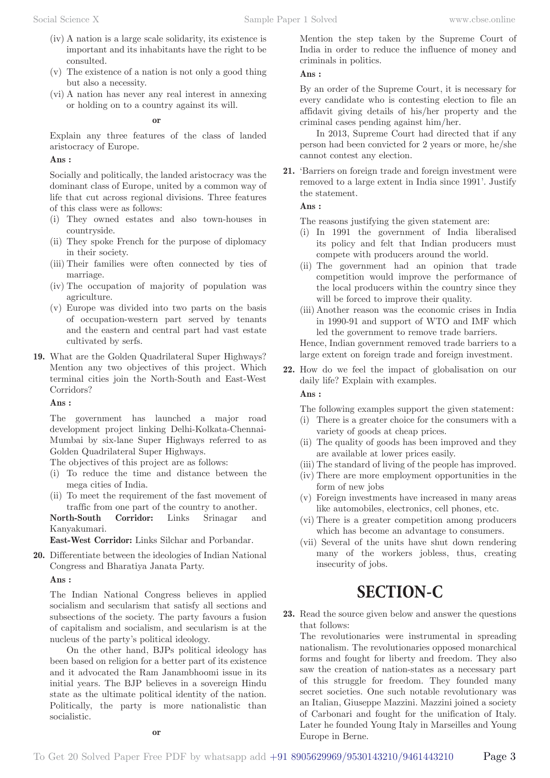- (iv) A nation is a large scale solidarity, its existence is important and its inhabitants have the right to be consulted.
- (v) The existence of a nation is not only a good thing but also a necessity.
- (vi) A nation has never any real interest in annexing or holding on to a country against its will.

### **or**

Explain any three features of the class of landed aristocracy of Europe.

## **Ans :**

Socially and politically, the landed aristocracy was the dominant class of Europe, united by a common way of life that cut across regional divisions. Three features of this class were as follows:

- (i) They owned estates and also town-houses in countryside.
- (ii) They spoke French for the purpose of diplomacy in their society.
- (iii) Their families were often connected by ties of marriage.
- (iv) The occupation of majority of population was agriculture.
- (v) Europe was divided into two parts on the basis of occupation-western part served by tenants and the eastern and central part had vast estate cultivated by serfs.
- **19.** What are the Golden Quadrilateral Super Highways? Mention any two objectives of this project. Which terminal cities join the North-South and East-West Corridors?

**Ans :** 

The government has launched a major road development project linking Delhi-Kolkata-Chennai-Mumbai by six-lane Super Highways referred to as Golden Quadrilateral Super Highways.

The objectives of this project are as follows:

- (i) To reduce the time and distance between the mega cities of India.
- (ii) To meet the requirement of the fast movement of traffic from one part of the country to another.

**North-South Corridor:** Links Srinagar and Kanyakumari.

**East-West Corridor:** Links Silchar and Porbandar.

**20.** Differentiate between the ideologies of Indian National Congress and Bharatiya Janata Party.

**Ans :** 

The Indian National Congress believes in applied socialism and secularism that satisfy all sections and subsections of the society. The party favours a fusion of capitalism and socialism, and secularism is at the nucleus of the party's political ideology.

On the other hand, BJPs political ideology has been based on religion for a better part of its existence and it advocated the Ram Janambhoomi issue in its initial years. The BJP believes in a sovereign Hindu state as the ultimate political identity of the nation. Politically, the party is more nationalistic than socialistic.

**or**

## **Ans :**

By an order of the Supreme Court, it is necessary for every candidate who is contesting election to file an affidavit giving details of his/her property and the criminal cases pending against him/her.

In 2013, Supreme Court had directed that if any person had been convicted for 2 years or more, he/she cannot contest any election.

**21.** 'Barriers on foreign trade and foreign investment were removed to a large extent in India since 1991'. Justify the statement.

**Ans :** 

The reasons justifying the given statement are:

- (i) In 1991 the government of India liberalised its policy and felt that Indian producers must compete with producers around the world.
- (ii) The government had an opinion that trade competition would improve the performance of the local producers within the country since they will be forced to improve their quality.
- (iii) Another reason was the economic crises in India in 1990-91 and support of WTO and IMF which led the government to remove trade barriers.

Hence, Indian government removed trade barriers to a large extent on foreign trade and foreign investment.

**22.** How do we feel the impact of globalisation on our daily life? Explain with examples.

**Ans :** 

The following examples support the given statement:

- (i) There is a greater choice for the consumers with a variety of goods at cheap prices.
- (ii) The quality of goods has been improved and they are available at lower prices easily.
- (iii) The standard of living of the people has improved.
- (iv) There are more employment opportunities in the form of new jobs
- (v) Foreign investments have increased in many areas like automobiles, electronics, cell phones, etc.
- (vi) There is a greater competition among producers which has become an advantage to consumers.
- (vii) Several of the units have shut down rendering many of the workers jobless, thus, creating insecurity of jobs.

# **SECTION-C**

**23.** Read the source given below and answer the questions that follows:

The revolutionaries were instrumental in spreading nationalism. The revolutionaries opposed monarchical forms and fought for liberty and freedom. They also saw the creation of nation-states as a necessary part of this struggle for freedom. They founded many secret societies. One such notable revolutionary was an Italian, Giuseppe Mazzini. Mazzini joined a society of Carbonari and fought for the unification of Italy. Later he founded Young Italy in Marseilles and Young Europe in Berne.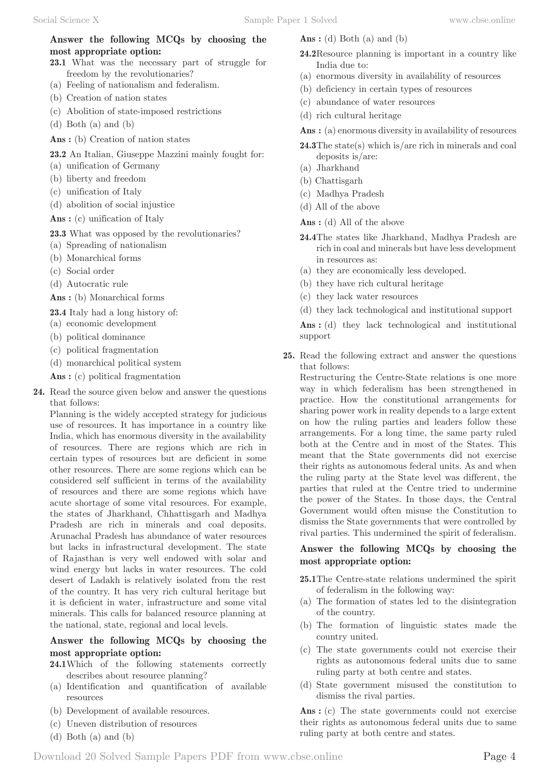## **Answer the following MCQs by choosing the most appropriate option:**

- **23.1** What was the necessary part of struggle for freedom by the revolutionaries?
- (a) Feeling of nationalism and federalism.
- (b) Creation of nation states
- (c) Abolition of state-imposed restrictions
- (d) Both (a) and (b)
- Ans : (b) Creation of nation states
- **23.2** An Italian, Giuseppe Mazzini mainly fought for:
- (a) unification of Germany
- (b) liberty and freedom
- (c) unification of Italy
- (d) abolition of social injustice
- Ans : (c) unification of Italy

**23.3** What was opposed by the revolutionaries?

- (a) Spreading of nationalism
- (b) Monarchical forms
- (c) Social order
- (d) Autocratic rule

Ans : (b) Monarchical forms

**23.4** Italy had a long history of:

- (a) economic development
- (b) political dominance
- (c) political fragmentation
- (d) monarchical political system

**Ans :** (c) political fragmentation

**24.** Read the source given below and answer the questions that follows:

Planning is the widely accepted strategy for judicious use of resources. It has importance in a country like India, which has enormous diversity in the availability of resources. There are regions which are rich in certain types of resources but are deficient in some other resources. There are some regions which can be considered self sufficient in terms of the availability of resources and there are some regions which have acute shortage of some vital resources. For example, the states of Jharkhand, Chhattisgarh and Madhya Pradesh are rich in minerals and coal deposits. Arunachal Pradesh has abundance of water resources but lacks in infrastructural development. The state of Rajasthan is very well endowed with solar and wind energy but lacks in water resources. The cold desert of Ladakh is relatively isolated from the rest of the country. It has very rich cultural heritage but it is deficient in water, infrastructure and some vital minerals. This calls for balanced resource planning at the national, state, regional and local levels.

## **Answer the following MCQs by choosing the most appropriate option:**

- **24.1** Which of the following statements correctly describes about resource planning?
- (a) Identification and quantification of available resources
- (b) Development of available resources.
- (c) Uneven distribution of resources
- (d) Both (a) and (b)
- **Ans :** (d) Both (a) and (b)
- **24.2** Resource planning is important in a country like India due to:
- (a) enormous diversity in availability of resources
- (b) deficiency in certain types of resources
- (c) abundance of water resources
- (d) rich cultural heritage
- Ans : (a) enormous diversity in availability of resources
- **24.3** The state(s) which is/are rich in minerals and coal deposits is/are:
- (a) Jharkhand
- (b) Chattisgarh
- (c) Madhya Pradesh
- (d) All of the above

**Ans :** (d) All of the above

- **24.4** The states like Jharkhand, Madhya Pradesh are rich in coal and minerals but have less development in resources as:
- (a) they are economically less developed.
- (b) they have rich cultural heritage
- (c) they lack water resources
- (d) they lack technological and institutional support

Ans : (d) they lack technological and institutional support

**25.** Read the following extract and answer the questions that follows:

Restructuring the Centre-State relations is one more way in which federalism has been strengthened in practice. How the constitutional arrangements for sharing power work in reality depends to a large extent on how the ruling parties and leaders follow these arrangements. For a long time, the same party ruled both at the Centre and in most of the States. This meant that the State governments did not exercise their rights as autonomous federal units. As and when the ruling party at the State level was different, the parties that ruled at the Centre tried to undermine the power of the States. In those days, the Central Government would often misuse the Constitution to dismiss the State governments that were controlled by rival parties. This undermined the spirit of federalism.

## **Answer the following MCQs by choosing the most appropriate option:**

**25.1** The Centre-state relations undermined the spirit of federalism in the following way:

- (a) The formation of states led to the disintegration of the country.
- (b) The formation of linguistic states made the country united.
- (c) The state governments could not exercise their rights as autonomous federal units due to same ruling party at both centre and states.
- (d) State government misused the constitution to dismiss the rival parties.

Ans : (c) The state governments could not exercise their rights as autonomous federal units due to same ruling party at both centre and states.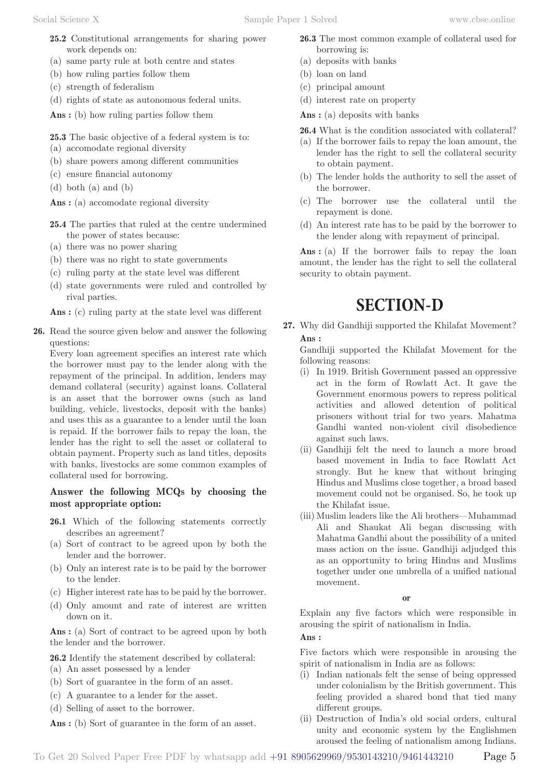- **25.2** Constitutional arrangements for sharing power work depends on:
- (a) same party rule at both centre and states
- (b) how ruling parties follow them
- (c) strength of federalism
- (d) rights of state as autonomous federal units.

Ans : (b) how ruling parties follow them

**25.3** The basic objective of a federal system is to:

- (a) accomodate regional diversity
- (b) share powers among different communities
- (c) ensure financial autonomy
- (d) both (a) and (b)

Ans : (a) accomodate regional diversity

- **25.4** The parties that ruled at the centre undermined the power of states because:
- (a) there was no power sharing
- (b) there was no right to state governments
- (c) ruling party at the state level was different
- (d) state governments were ruled and controlled by rival parties.

Ans : (c) ruling party at the state level was different

**26.** Read the source given below and answer the following questions:

Every loan agreement specifies an interest rate which the borrower must pay to the lender along with the repayment of the principal. In addition, lenders may demand collateral (security) against loans. Collateral is an asset that the borrower owns (such as land building, vehicle, livestocks, deposit with the banks) and uses this as a guarantee to a lender until the loan is repaid. If the borrower fails to repay the loan, the lender has the right to sell the asset or collateral to obtain payment. Property such as land titles, deposits with banks, livestocks are some common examples of collateral used for borrowing.

## **Answer the following MCQs by choosing the most appropriate option:**

- **26.1** Which of the following statements correctly describes an agreement?
- (a) Sort of contract to be agreed upon by both the lender and the borrower.
- (b) Only an interest rate is to be paid by the borrower to the lender.
- (c) Higher interest rate has to be paid by the borrower.
- (d) Only amount and rate of interest are written down on it.

Ans : (a) Sort of contract to be agreed upon by both the lender and the borrower.

**26.2** Identify the statement described by collateral:

- (a) An asset possessed by a lender
- (b) Sort of guarantee in the form of an asset.
- (c) A guarantee to a lender for the asset.
- (d) Selling of asset to the borrower.

Ans : (b) Sort of guarantee in the form of an asset.

- **26.3** The most common example of collateral used for borrowing is:
- (a) deposits with banks
- (b) loan on land
- (c) principal amount
- (d) interest rate on property

Ans : (a) deposits with banks

**26.4** What is the condition associated with collateral?

- (a) If the borrower fails to repay the loan amount, the lender has the right to sell the collateral security to obtain payment.
- (b) The lender holds the authority to sell the asset of the borrower.
- (c) The borrower use the collateral until the repayment is done.
- (d) An interest rate has to be paid by the borrower to the lender along with repayment of principal.

Ans : (a) If the borrower fails to repay the loan amount, the lender has the right to sell the collateral security to obtain payment.

# **SECTION-D**

**27.** Why did Gandhiji supported the Khilafat Movement? **Ans :** 

Gandhiji supported the Khilafat Movement for the following reasons:

- (i) In 1919. British Government passed an oppressive act in the form of Rowlatt Act. It gave the Government enormous powers to repress political activities and allowed detention of political prisoners without trial for two years. Mahatma Gandhi wanted non-violent civil disobedience against such laws.
- (ii) Gandhiji felt the need to launch a more broad based movement in India to face Rowlatt Act strongly. But he knew that without bringing Hindus and Muslims close together, a broad based movement could not be organised. So, he took up the Khilafat issue.
- (iii) Muslim leaders like the Ali brothers—Muhammad Ali and Shaukat Ali began discussing with Mahatma Gandhi about the possibility of a united mass action on the issue. Gandhiji adjudged this as an opportunity to bring Hindus and Muslims together under one umbrella of a unified national movement.

#### **or**

Explain any five factors which were responsible in arousing the spirit of nationalism in India.

**Ans :** 

Five factors which were responsible in arousing the spirit of nationalism in India are as follows:

- (i) Indian nationals felt the sense of being oppressed under colonialism by the British government. This feeling provided a shared bond that tied many different groups.
- (ii) Destruction of India's old social orders, cultural unity and economic system by the Englishmen aroused the feeling of nationalism among Indians.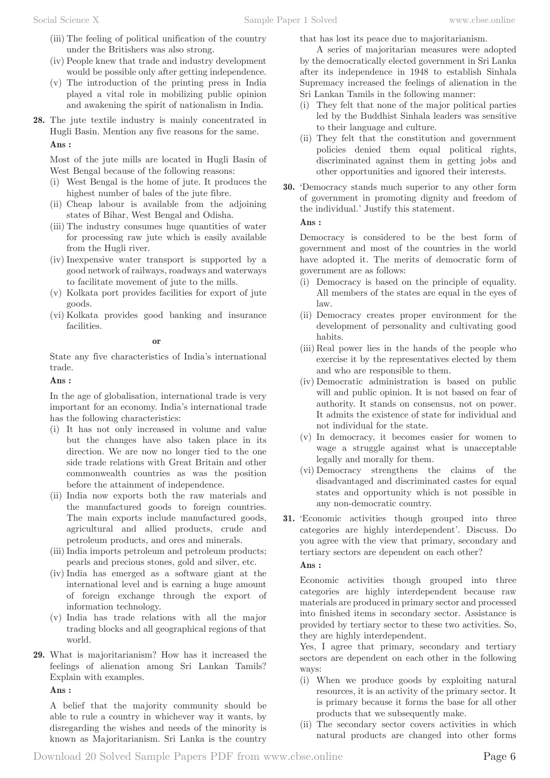- (iii) The feeling of political unification of the country under the Britishers was also strong.
- (iv) People knew that trade and industry development would be possible only after getting independence.
- (v) The introduction of the printing press in India played a vital role in mobilizing public opinion and awakening the spirit of nationalism in India.
- **28.** The jute textile industry is mainly concentrated in Hugli Basin. Mention any five reasons for the same. **Ans :**

Most of the jute mills are located in Hugli Basin of West Bengal because of the following reasons:

- (i) West Bengal is the home of jute. It produces the highest number of bales of the jute fibre.
- (ii) Cheap labour is available from the adjoining states of Bihar, West Bengal and Odisha.
- (iii) The industry consumes huge quantities of water for processing raw jute which is easily available from the Hugli river.
- (iv) Inexpensive water transport is supported by a good network of railways, roadways and waterways to facilitate movement of jute to the mills.
- (v) Kolkata port provides facilities for export of jute goods.
- (vi) Kolkata provides good banking and insurance facilities.

#### **or**

State any five characteristics of India's international trade.

### **Ans :**

In the age of globalisation, international trade is very important for an economy. India's international trade has the following characteristics:

- (i) It has not only increased in volume and value but the changes have also taken place in its direction. We are now no longer tied to the one side trade relations with Great Britain and other commonwealth countries as was the position before the attainment of independence.
- (ii) India now exports both the raw materials and the manufactured goods to foreign countries. The main exports include manufactured goods, agricultural and allied products, crude and petroleum products, and ores and minerals.
- (iii) India imports petroleum and petroleum products; pearls and precious stones, gold and silver, etc.
- (iv) India has emerged as a software giant at the international level and is earning a huge amount of foreign exchange through the export of information technology.
- (v) India has trade relations with all the major trading blocks and all geographical regions of that world.
- **29.** What is majoritarianism? How has it increased the feelings of alienation among Sri Lankan Tamils? Explain with examples.

**Ans :** 

A belief that the majority community should be able to rule a country in whichever way it wants, by disregarding the wishes and needs of the minority is known as Majoritarianism. Sri Lanka is the country

that has lost its peace due to majoritarianism.

A series of majoritarian measures were adopted by the democratically elected government in Sri Lanka after its independence in 1948 to establish Sinhala Supremacy increased the feelings of alienation in the Sri Lankan Tamils in the following manner:

- (i) They felt that none of the major political parties led by the Buddhist Sinhala leaders was sensitive to their language and culture.
- (ii) They felt that the constitution and government policies denied them equal political rights, discriminated against them in getting jobs and other opportunities and ignored their interests.
- **30.** 'Democracy stands much superior to any other form of government in promoting dignity and freedom of the individual.' Justify this statement.

## **Ans :**

Democracy is considered to be the best form of government and most of the countries in the world have adopted it. The merits of democratic form of government are as follows:

- (i) Democracy is based on the principle of equality. All members of the states are equal in the eyes of law.
- (ii) Democracy creates proper environment for the development of personality and cultivating good habits.
- (iii) Real power lies in the hands of the people who exercise it by the representatives elected by them and who are responsible to them.
- (iv) Democratic administration is based on public will and public opinion. It is not based on fear of authority. It stands on consensus, not on power. It admits the existence of state for individual and not individual for the state.
- (v) In democracy, it becomes easier for women to wage a struggle against what is unacceptable legally and morally for them.
- (vi) Democracy strengthens the claims of the disadvantaged and discriminated castes for equal states and opportunity which is not possible in any non-democratic country.
- **31.** 'Economic activities though grouped into three categories are highly interdependent'. Discuss. Do you agree with the view that primary, secondary and tertiary sectors are dependent on each other?

**Ans :** 

Economic activities though grouped into three categories are highly interdependent because raw materials are produced in primary sector and processed into finished items in secondary sector. Assistance is provided by tertiary sector to these two activities. So, they are highly interdependent.

Yes, I agree that primary, secondary and tertiary sectors are dependent on each other in the following ways:

- (i) When we produce goods by exploiting natural resources, it is an activity of the primary sector. It is primary because it forms the base for all other products that we subsequently make.
- (ii) The secondary sector covers activities in which natural products are changed into other forms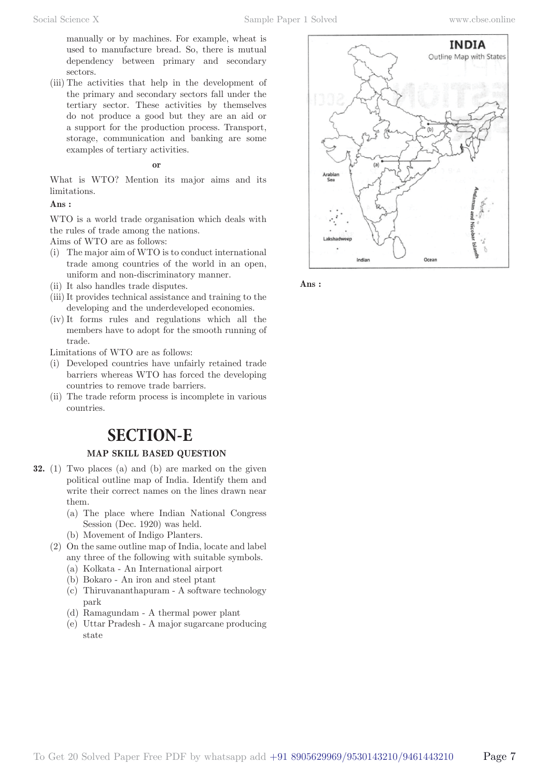manually or by machines. For example, wheat is used to manufacture bread. So, there is mutual dependency between primary and secondary sectors.

(iii) The activities that help in the development of the primary and secondary sectors fall under the tertiary sector. These activities by themselves do not produce a good but they are an aid or a support for the production process. Transport, storage, communication and banking are some examples of tertiary activities.

#### **or**

What is WTO? Mention its major aims and its limitations.

## **Ans :**

WTO is a world trade organisation which deals with the rules of trade among the nations.

Aims of WTO are as follows:

- (i) The major aim of WTO is to conduct international trade among countries of the world in an open, uniform and non-discriminatory manner.
- (ii) It also handles trade disputes.
- (iii) It provides technical assistance and training to the developing and the underdeveloped economies.
- (iv) It forms rules and regulations which all the members have to adopt for the smooth running of trade.

Limitations of WTO are as follows:

- (i) Developed countries have unfairly retained trade barriers whereas WTO has forced the developing countries to remove trade barriers.
- (ii) The trade reform process is incomplete in various countries.

## **SECTION-E**

## **MAP SKILL BASED QUESTION**

- **32.** (1) Two places (a) and (b) are marked on the given political outline map of India. Identify them and write their correct names on the lines drawn near them.
	- (a) The place where Indian National Congress Session (Dec. 1920) was held.
	- (b) Movement of Indigo Planters.
	- (2) On the same outline map of India, locate and label any three of the following with suitable symbols.
		- (a) Kolkata An International airport
		- (b) Bokaro An iron and steel ptant
		- (c) Thiruvananthapuram A software technology park
		- (d) Ramagundam A thermal power plant
		- (e) Uttar Pradesh A major sugarcane producing state



**Ans :**